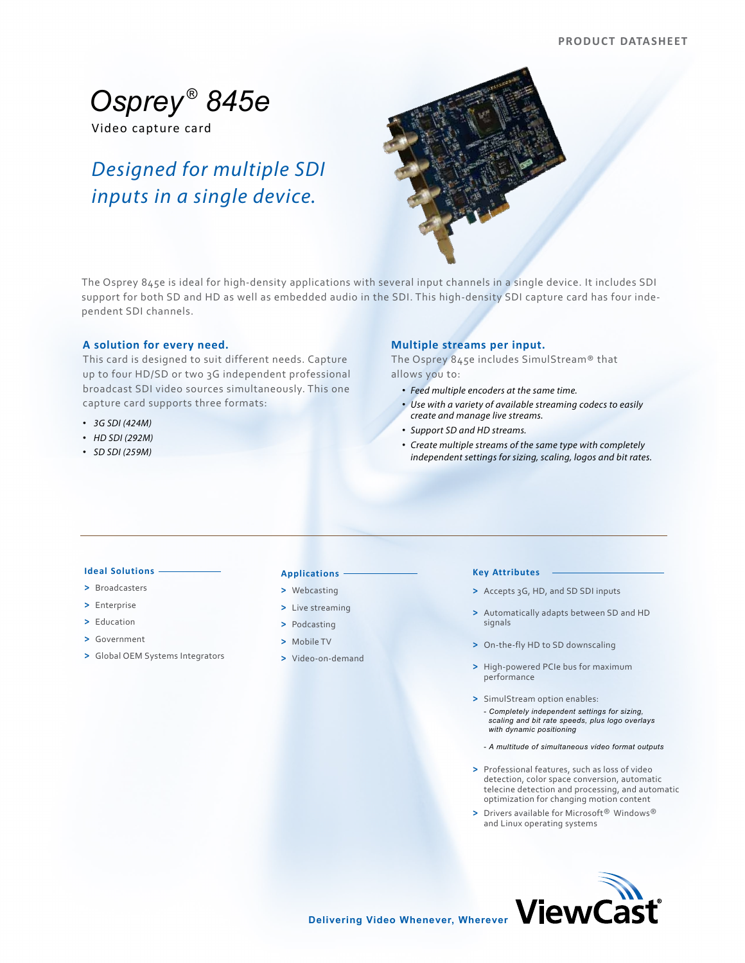# *Osprey ® 845e*

Video capture card

# *Designed for multiple SDI inputs in a single device.*



The Osprey 845e is ideal for high-density applications with several input channels in a single device. It includes SDI support for both SD and HD as well as embedded audio in the SDI. This high-density SDI capture card has four independent SDI channels.

# **A solution for every need.**

This card is designed to suit different needs. Capture up to four HD/SD or two 3G independent professional broadcast SDI video sources simultaneously. This one capture card supports three formats:

- *3G SDI (424M)*
- *HD SDI (292M)*
- *SD SDI (259M)*

# **Multiple streams per input.**

The Osprey 845e includes SimulStream® that allows you to:

- *Feed multiple encoders at the same time.*
- *Use with a variety of available streaming codecs to easily create and manage live streams.*
- *Support SD and HD streams.*
- *Create multiple streams of the same type with completely independent settings for sizing, scaling, logos and bit rates.*

# **Ideal Solutions**

- **>** Broadcasters
- **>** Enterprise
- **>** Education
- **>** Government
- **>** Global OEM Systems Integrators

# **Applications**

#### **>** Webcasting

- **>** Live streaming
- **>** Podcasting
- **>** Mobile TV
- **>** Video-on-demand

#### **Key Attributes**

- **>** Accepts 3G, HD, and SD SDI inputs
- **>** Automatically adapts between SD and HD signals
- **>** On-the-fly HD to SD downscaling
- **>** High-powered PCIe bus for maximum performance
- **>** SimulStream option enables:
	- *Completely independent settings for sizing, scaling and bit rate speeds, plus logo overlays with dynamic positioning*
	- *A multitude of simultaneous video format outputs*
- **>** Professional features, such as loss of video detection, color space conversion, automatic telecine detection and processing, and automatic optimization for changing motion content
- **>** Drivers available for Microsoft® Windows® and Linux operating systems



**Delivering Video Whenever, Wherever**